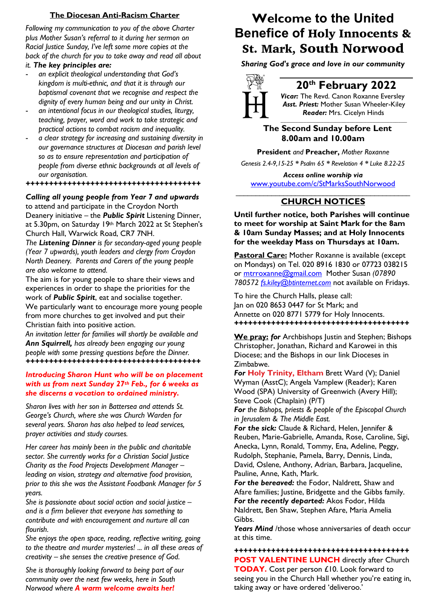### **The Diocesan Anti-Racism Charter**

*Following my communication to you of the above Charter plus Mother Susan's referral to it during her sermon on Racial Justice Sunday, I've left some more copies at the back of the church for you to take away and read all about it. The key principles are:*

- *an explicit theological understanding that God's kingdom is multi-ethnic, and that it is through our baptismal covenant that we recognise and respect the dignity of every human being and our unity in Christ.*
- *an intentional focus in our theological studies, liturgy, teaching, prayer, word and work to take strategic and practical actions to combat racism and inequality.*
- *a clear strategy for increasing and sustaining diversity in our governance structures at Diocesan and parish level so as to ensure representation and participation of people from diverse ethnic backgrounds at all levels of our organisation.*

### *++++++++++++++++++++++++++++++++++++++*

*Calling all young people from Year 7 and upwards* to attend and participate in the Croydon North Deanery initiative – the *Public Spirit* Listening Dinner, at 5.30pm, on Saturday 19th March 2022 at St Stephen's Church Hall, Warwick Road, CR7 7NH.

*The Listening Dinner is for secondary-aged young people (Year 7 upwards), youth leaders and clergy from Croydon North Deanery. Parents and Carers of the young people are also welcome to attend.*

The aim is for young people to share their views and experiences in order to shape the priorities for the work of *Public Spirit*, eat and socialise together. We particularly want to encourage more young people from more churches to get involved and put their Christian faith into positive action.

*An invitation letter for families will shortly be available and Ann Squirrell, has already been engaging our young people with some pressing questions before the Dinner. ++++++++++++++++++++++++++++++++++++++*

### *Introducing Sharon Hunt who will be on placement with us from next Sunday 27th Feb., for 6 weeks as she discerns a vocation to ordained ministry.*

*Sharon lives with her son in Battersea and attends St. George's Church, where she was Church Warden for several years. Sharon has also helped to lead services, prayer activities and study courses.* 

*Her career has mainly been in the public and charitable sector. She currently works for a Christian Social Justice Charity as the Food Projects Development Manager – leading on vision, strategy and alternative food provision, prior to this she was the Assistant Foodbank Manager for 5 years.*

*She is passionate about social action and social justice – and is a firm believer that everyone has something to contribute and with encouragement and nurture all can flourish.* 

*She enjoys the open space, reading, reflective writing, going to the theatre and murder mysteries! ... in all these areas of creativity – she senses the creative presence of God.*

*She is thoroughly looking forward to being part of our community over the next few weeks, here in South Norwood where A warm welcome awaits her!*

## **Welcome to the United Benefice of** Holy Innocents & St. Mark, South Norwood

*Sharing God's grace and love in our community*



## **20th February 2022**

*Vicar:* The Revd. Canon Roxanne Eversley *Asst. Priest:* Mother Susan Wheeler-Kiley  *Reader:* Mrs. Cicelyn Hinds *\_\_\_\_\_\_\_\_\_\_\_\_\_\_\_\_\_\_\_\_\_\_\_\_\_\_\_\_\_\_\_\_\_\_\_\_\_\_\_\_\_\_\_\_*

### **The Second Sunday before Lent 8.00am and 10.00am**

**President** *and* **Preacher,** *Mother Roxanne*

*Genesis 2.4-9,15-25 \* Psalm 65 \* Revelation 4 \* Luke 8.22-25*

*Access online worship via* www.youtube.com/c/StMarksSouthNorwood \_\_\_\_\_\_\_\_\_\_\_\_\_\_\_\_\_\_\_\_\_\_\_\_\_\_\_\_\_\_\_\_\_\_\_\_\_\_\_\_\_\_\_\_

### **CHURCH NOTICES**

**Until further notice, both Parishes will continue to meet for worship at Saint Mark for the 8am & 10am Sunday Masses; and at Holy Innocents for the weekday Mass on Thursdays at 10am.**

**Pastoral Care:** Mother Roxanne is available (except on Mondays) on Tel. 020 8916 1830 or 07723 038215 or mtrroxanne@gmail.com Mother Susan *(07890 780572 fs.kiley@btinternet.com* not available on Fridays.

To hire the Church Halls, please call: Jan on 020 8653 0447 for St Mark; and Annette on 020 8771 5779 for Holy Innocents. *++++++++++++++++++++++++++++++++++++++*

**We pray:** *for* Archbishops Justin and Stephen; Bishops Christopher, Jonathan, Richard and Karowei in this Diocese; and the Bishops in our link Dioceses in Zimbabwe.

*For* **Holy Trinity, Eltham** Brett Ward (V); Daniel Wyman (AsstC); Angela Vamplew (Reader); Karen Wood (SPA) University of Greenwich (Avery Hill); Steve Cook (Chaplain) (P/T)

*For the Bishops, priests & people of the Episcopal Church in Jerusalem & The Middle East.*

*For the sick:* Claude & Richard, Helen, Jennifer & Reuben, Marie-Gabrielle, Amanda, Rose, Caroline, Sigi, Anecka, Lynn, Ronald, Tommy, Ena, Adeline, Peggy, Rudolph, Stephanie, Pamela, Barry, Dennis, Linda, David, Oslene, Anthony, Adrian, Barbara, Jacqueline, Pauline, Anne, Kath, Mark.

*For the bereaved:* the Fodor, Naldrett, Shaw and Afare families; Justine, Bridgette and the Gibbs family. *For the recently departed:* Akos Fodor, Hilda Naldrett, Ben Shaw, Stephen Afare, Maria Amelia Gibbs.

*Years Mind* /those whose anniversaries of death occur at this time.

*++++++++++++++++++++++++++++++++++++++* **POST VALENTINE LUNCH** directly after Church **TODAY.** Cost per person £10. Look forward to seeing you in the Church Hall whether you're eating in, taking away or have ordered 'deliveroo.'